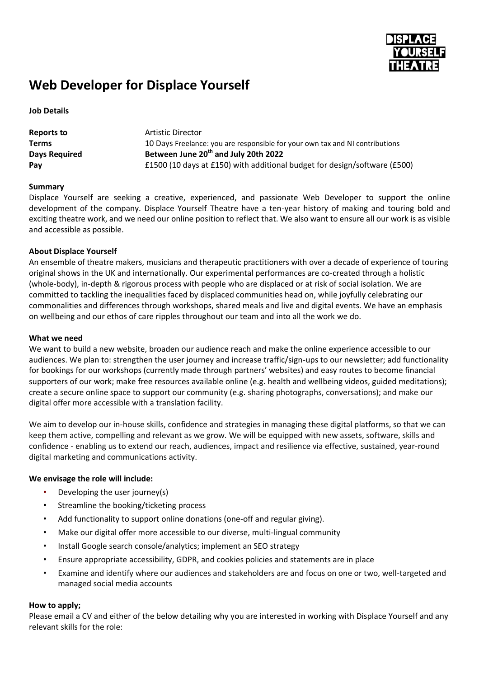

# **Web Developer for Displace Yourself**

**Job Details**

| Reports to    | Artistic Director                                                            |
|---------------|------------------------------------------------------------------------------|
| <b>Terms</b>  | 10 Days Freelance: you are responsible for your own tax and NI contributions |
| Days Required | Between June 20 <sup>th</sup> and July 20th 2022                             |
| Pav           | £1500 (10 days at £150) with additional budget for design/software (£500)    |

## **Summary**

Displace Yourself are seeking a creative, experienced, and passionate Web Developer to support the online development of the company. Displace Yourself Theatre have a ten-year history of making and touring bold and exciting theatre work, and we need our online position to reflect that. We also want to ensure all our work is as visible and accessible as possible.

## **About Displace Yourself**

An ensemble of theatre makers, musicians and therapeutic practitioners with over a decade of experience of touring original shows in the UK and internationally. Our experimental performances are co-created through a holistic (whole-body), in-depth & rigorous process with people who are displaced or at risk of social isolation. We are committed to tackling the inequalities faced by displaced communities head on, while joyfully celebrating our commonalities and differences through workshops, shared meals and live and digital events. We have an emphasis on wellbeing and our ethos of care ripples throughout our team and into all the work we do.

#### **What we need**

We want to build a new website, broaden our audience reach and make the online experience accessible to our audiences. We plan to: strengthen the user journey and increase traffic/sign-ups to our newsletter; add functionality for bookings for our workshops (currently made through partners' websites) and easy routes to become financial supporters of our work; make free resources available online (e.g. health and wellbeing videos, guided meditations); create a secure online space to support our community (e.g. sharing photographs, conversations); and make our digital offer more accessible with a translation facility.

We aim to develop our in-house skills, confidence and strategies in managing these digital platforms, so that we can keep them active, compelling and relevant as we grow. We will be equipped with new assets, software, skills and confidence - enabling us to extend our reach, audiences, impact and resilience via effective, sustained, year-round digital marketing and communications activity.

# **We envisage the role will include:**

- Developing the user journey(s)
- Streamline the booking/ticketing process
- Add functionality to support online donations (one-off and regular giving).
- Make our digital offer more accessible to our diverse, multi-lingual community
- Install Google search console/analytics; implement an SEO strategy
- Ensure appropriate accessibility, GDPR, and cookies policies and statements are in place
- Examine and identify where our audiences and stakeholders are and focus on one or two, well-targeted and managed social media accounts

#### **How to apply;**

Please email a CV and either of the below detailing why you are interested in working with Displace Yourself and any relevant skills for the role: